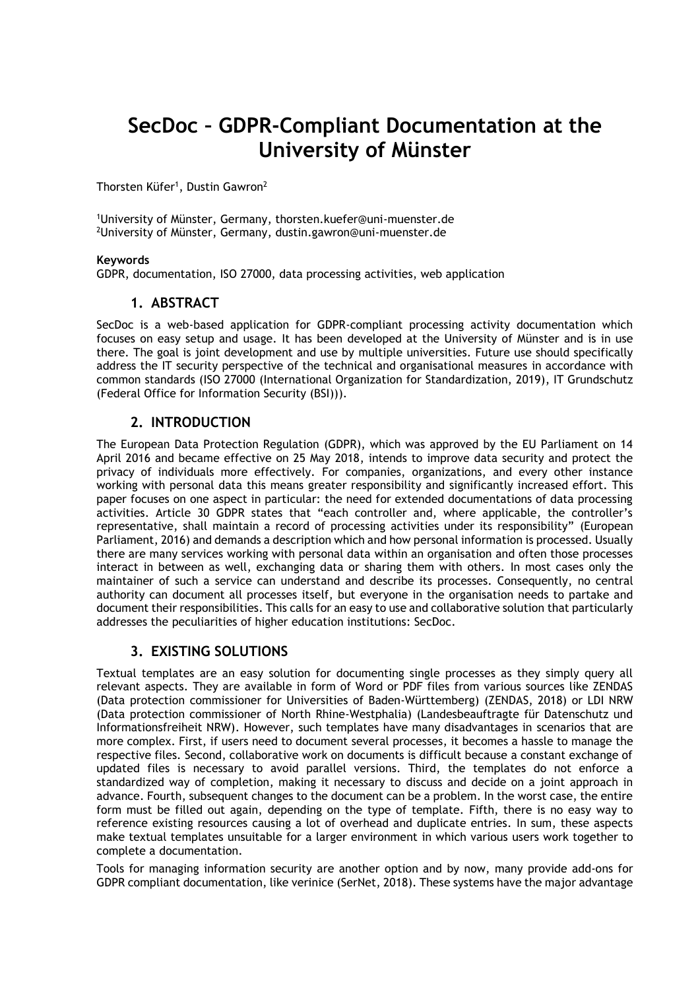# **SecDoc – GDPR-Compliant Documentation at the University of Münster**

Thorsten Küfer<sup>1</sup>, Dustin Gawron<sup>2</sup>

<sup>1</sup>University of Münster, Germany, thorsten.kuefer@uni-muenster.de <sup>2</sup>University of Münster, Germany, dustin.gawron@uni-muenster.de

#### **Keywords**

GDPR, documentation, ISO 27000, data processing activities, web application

## **1. ABSTRACT**

SecDoc is a web-based application for GDPR-compliant processing activity documentation which focuses on easy setup and usage. It has been developed at the University of Münster and is in use there. The goal is joint development and use by multiple universities. Future use should specifically address the IT security perspective of the technical and organisational measures in accordance with common standards (ISO 27000 (International Organization for Standardization, 2019), IT Grundschutz (Federal Office for Information Security (BSI))).

## **2. INTRODUCTION**

The European Data Protection Regulation (GDPR), which was approved by the EU Parliament on 14 April 2016 and became effective on 25 May 2018, intends to improve data security and protect the privacy of individuals more effectively. For companies, organizations, and every other instance working with personal data this means greater responsibility and significantly increased effort. This paper focuses on one aspect in particular: the need for extended documentations of data processing activities. Article 30 GDPR states that "each controller and, where applicable, the controller's representative, shall maintain a record of processing activities under its responsibility" (European Parliament, 2016) and demands a description which and how personal information is processed. Usually there are many services working with personal data within an organisation and often those processes interact in between as well, exchanging data or sharing them with others. In most cases only the maintainer of such a service can understand and describe its processes. Consequently, no central authority can document all processes itself, but everyone in the organisation needs to partake and document their responsibilities. This calls for an easy to use and collaborative solution that particularly addresses the peculiarities of higher education institutions: SecDoc.

### **3. EXISTING SOLUTIONS**

Textual templates are an easy solution for documenting single processes as they simply query all relevant aspects. They are available in form of Word or PDF files from various sources like ZENDAS (Data protection commissioner for Universities of Baden-Württemberg) (ZENDAS, 2018) or LDI NRW (Data protection commissioner of North Rhine-Westphalia) (Landesbeauftragte für Datenschutz und Informationsfreiheit NRW). However, such templates have many disadvantages in scenarios that are more complex. First, if users need to document several processes, it becomes a hassle to manage the respective files. Second, collaborative work on documents is difficult because a constant exchange of updated files is necessary to avoid parallel versions. Third, the templates do not enforce a standardized way of completion, making it necessary to discuss and decide on a joint approach in advance. Fourth, subsequent changes to the document can be a problem. In the worst case, the entire form must be filled out again, depending on the type of template. Fifth, there is no easy way to reference existing resources causing a lot of overhead and duplicate entries. In sum, these aspects make textual templates unsuitable for a larger environment in which various users work together to complete a documentation.

Tools for managing information security are another option and by now, many provide add-ons for GDPR compliant documentation, like verinice (SerNet, 2018). These systems have the major advantage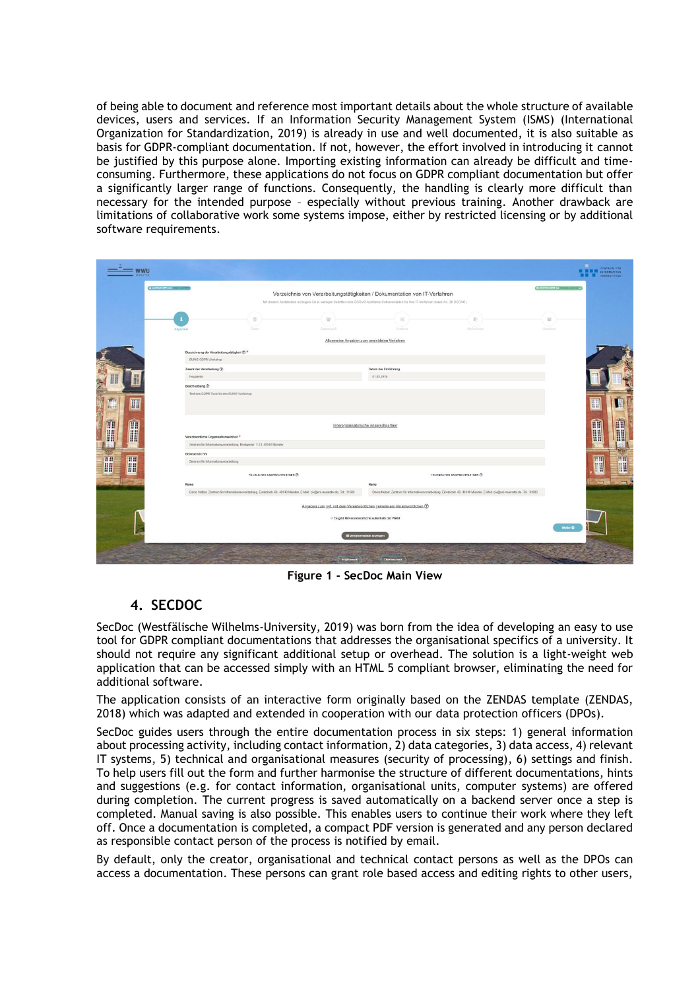of being able to document and reference most important details about the whole structure of available devices, users and services. If an Information Security Management System (ISMS) (International Organization for Standardization, 2019) is already in use and well documented, it is also suitable as basis for GDPR-compliant documentation. If not, however, the effort involved in introducing it cannot be justified by this purpose alone. Importing existing information can already be difficult and timeconsuming. Furthermore, these applications do not focus on GDPR compliant documentation but offer a significantly larger range of functions. Consequently, the handling is clearly more difficult than necessary for the intended purpose – especially without previous training. Another drawback are limitations of collaborative work some systems impose, either by restricted licensing or by additional software requirements.

| <b>A ANGEMELOCT ALS COUNT FUTURE</b> |                                            |                                                                       |                                                                                                                                        |                                                                         |                                                                                                                            | <b>BOISKONNYAK</b> (SILVER) M |              |
|--------------------------------------|--------------------------------------------|-----------------------------------------------------------------------|----------------------------------------------------------------------------------------------------------------------------------------|-------------------------------------------------------------------------|----------------------------------------------------------------------------------------------------------------------------|-------------------------------|--------------|
|                                      |                                            |                                                                       | Verzeichnis von Verarbeitungstätigkeiten / Dokumentation von IT-Verfahren                                                              |                                                                         |                                                                                                                            |                               |              |
|                                      |                                            |                                                                       | Mit diesem Assistenten erzeugen Sie in wenigen Schritten eine DSGVO-konforme Dokumentation für Ihre IT-Verfahren (nach Art. 38 DSGVO). |                                                                         |                                                                                                                            |                               |              |
|                                      |                                            |                                                                       |                                                                                                                                        |                                                                         |                                                                                                                            |                               |              |
|                                      |                                            | 豊                                                                     | 쏲                                                                                                                                      | 田                                                                       |                                                                                                                            | $\overline{\mathbf{13}}$      |              |
|                                      | Allgamein                                  | Dates                                                                 | Datentugeff.                                                                                                                           | Settimin                                                                | <b>Matinatinier</b>                                                                                                        | <b>Abichium</b>               |              |
|                                      |                                            |                                                                       |                                                                                                                                        | Allgemeine Angaben zum gemeldeten Verfahren                             |                                                                                                                            |                               |              |
|                                      | Bezeichnung der Verarbeitungstätigkeit (   |                                                                       |                                                                                                                                        |                                                                         |                                                                                                                            |                               |              |
|                                      | EUNIS GDPR Workshop                        |                                                                       |                                                                                                                                        |                                                                         |                                                                                                                            |                               |              |
|                                      | Zweck der Verarbeitung (2)                 |                                                                       |                                                                                                                                        | Datum der Einführung                                                    |                                                                                                                            |                               |              |
|                                      | Neugierde                                  |                                                                       |                                                                                                                                        | 01032019                                                                |                                                                                                                            |                               |              |
|                                      | Beschreibung (?)                           |                                                                       |                                                                                                                                        |                                                                         |                                                                                                                            |                               |              |
|                                      | Test des GDPR Tools für den EUNIS Workshop |                                                                       |                                                                                                                                        |                                                                         |                                                                                                                            |                               |              |
| H                                    |                                            |                                                                       |                                                                                                                                        |                                                                         |                                                                                                                            |                               | H            |
|                                      |                                            |                                                                       |                                                                                                                                        |                                                                         |                                                                                                                            |                               |              |
| Ĥ                                    |                                            |                                                                       |                                                                                                                                        | Innerorganisatorische Ansorechpartner                                   |                                                                                                                            |                               | $\mathbf{R}$ |
|                                      | Verantwortliche Organisationseinheit *     |                                                                       |                                                                                                                                        |                                                                         |                                                                                                                            |                               |              |
|                                      |                                            | Zentrum für Informationsverarbeitung, Röntgenstr. 7-13, 48149 Münster |                                                                                                                                        |                                                                         |                                                                                                                            |                               |              |
|                                      | Betreuende IVV                             |                                                                       |                                                                                                                                        |                                                                         |                                                                                                                            |                               |              |
| <b>HH</b>                            | Zentrum für Informationsverarbeitung       |                                                                       |                                                                                                                                        |                                                                         |                                                                                                                            |                               | I            |
| 圃                                    |                                            |                                                                       |                                                                                                                                        |                                                                         |                                                                                                                            |                               |              |
|                                      |                                            | FACHLICHER ANSPRECHPARTNER (B)                                        |                                                                                                                                        |                                                                         | TECHNISCHER ANSPRECHPARTNER (D)                                                                                            |                               |              |
|                                      | Name                                       |                                                                       | Demo Nutzer, Zentrum für Informationsverarbeitung, Einsteinstr. 60, 48149 Münster, E-Mail: ziv@uni-muenster.de, Tel. 31600             | Name                                                                    | Demo Nutzer, Zentrum für Informationsverarbeitung, Einsteinstr. 60, 48149 Münster, E-Mail: ziv@uni-muenster.de, Tel. 31600 |                               |              |
|                                      |                                            |                                                                       |                                                                                                                                        |                                                                         |                                                                                                                            |                               |              |
|                                      |                                            |                                                                       |                                                                                                                                        | Angaben zum ggf_mit dem Verantwortlichen gemeinsam Verantwortlichen (?) |                                                                                                                            |                               |              |
|                                      |                                            | Es gibt Mitverantwortliche außerhalb der WWU                          |                                                                                                                                        |                                                                         |                                                                                                                            |                               |              |
|                                      |                                            |                                                                       |                                                                                                                                        |                                                                         |                                                                                                                            | Weiter O                      |              |
|                                      |                                            |                                                                       |                                                                                                                                        | Werfahrensliste anzeigen                                                |                                                                                                                            |                               |              |

**Figure 1 - SecDoc Main View**

## **4. SECDOC**

SecDoc (Westfälische Wilhelms-University, 2019) was born from the idea of developing an easy to use tool for GDPR compliant documentations that addresses the organisational specifics of a university. It should not require any significant additional setup or overhead. The solution is a light-weight web application that can be accessed simply with an HTML 5 compliant browser, eliminating the need for additional software.

The application consists of an interactive form originally based on the ZENDAS template (ZENDAS, 2018) which was adapted and extended in cooperation with our data protection officers (DPOs).

SecDoc guides users through the entire documentation process in six steps: 1) general information about processing activity, including contact information, 2) data categories, 3) data access, 4) relevant IT systems, 5) technical and organisational measures (security of processing), 6) settings and finish. To help users fill out the form and further harmonise the structure of different documentations, hints and suggestions (e.g. for contact information, organisational units, computer systems) are offered during completion. The current progress is saved automatically on a backend server once a step is completed. Manual saving is also possible. This enables users to continue their work where they left off. Once a documentation is completed, a compact PDF version is generated and any person declared as responsible contact person of the process is notified by email.

By default, only the creator, organisational and technical contact persons as well as the DPOs can access a documentation. These persons can grant role based access and editing rights to other users,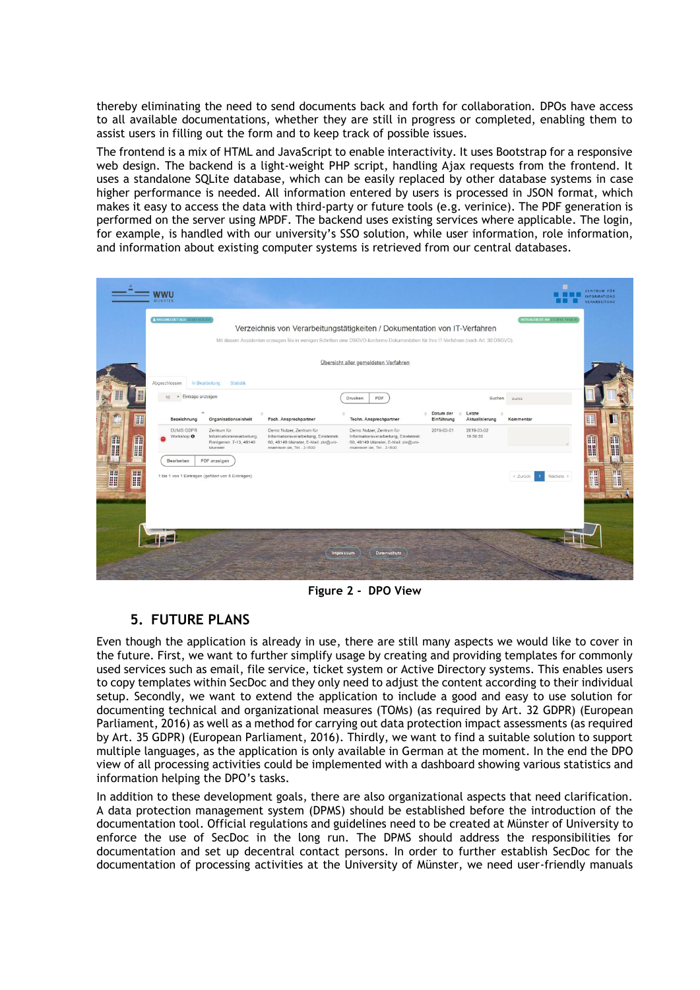thereby eliminating the need to send documents back and forth for collaboration. DPOs have access to all available documentations, whether they are still in progress or completed, enabling them to assist users in filling out the form and to keep track of possible issues.

The frontend is a mix of HTML and JavaScript to enable interactivity. It uses Bootstrap for a responsive web design. The backend is a light-weight PHP script, handling Ajax requests from the frontend. It uses a standalone SQLite database, which can be easily replaced by other database systems in case higher performance is needed. All information entered by users is processed in JSON format, which makes it easy to access the data with third-party or future tools (e.g. verinice). The PDF generation is performed on the server using MPDF. The backend uses existing services where applicable. The login, for example, is handled with our university's SSO solution, while user information, role information, and information about existing computer systems is retrieved from our central databases.

|                                      | <b>WWU</b><br>MÜNSTER                                                                                                                                                                                                                                                                        |                                                                                                                                       |                                                                                                                                       |                         |                          |                                       | ZENTRUM FÜR<br><b>INFORMATIONS</b><br><b>VERARBEITUNG</b> |  |  |  |  |  |
|--------------------------------------|----------------------------------------------------------------------------------------------------------------------------------------------------------------------------------------------------------------------------------------------------------------------------------------------|---------------------------------------------------------------------------------------------------------------------------------------|---------------------------------------------------------------------------------------------------------------------------------------|-------------------------|--------------------------|---------------------------------------|-----------------------------------------------------------|--|--|--|--|--|
|                                      | A ANGEMELDET ALSO DEMO MUNICIPAL<br>AKTUALISIERT AM 2 3/2019 19:56:45<br>Verzeichnis von Verarbeitungstätigkeiten / Dokumentation von IT-Verfahren<br>Mit diesem Assistenten erzeugen Sie in wenigen Schritten eine DSGVO-konforme Dokumentation für Ihre IT-Verfahren (nach Art. 30 DSGVO). |                                                                                                                                       |                                                                                                                                       |                         |                          |                                       |                                                           |  |  |  |  |  |
| Übersicht aller gemeldeten Verfahren |                                                                                                                                                                                                                                                                                              |                                                                                                                                       |                                                                                                                                       |                         |                          |                                       |                                                           |  |  |  |  |  |
| I<br>He H                            | Abgeschlossen<br>Statistik<br>In Bearbeitung<br>· Einträge anzeigen<br>10 <sup>1</sup>                                                                                                                                                                                                       |                                                                                                                                       | PDF<br>Drucken                                                                                                                        |                         | Suchen                   | eunis                                 |                                                           |  |  |  |  |  |
|                                      | Organisationseinheit<br>Bezeichnung                                                                                                                                                                                                                                                          | Fach. Ansprechpartner                                                                                                                 | Techn. Ansprechpartner                                                                                                                | Datum der<br>Einführung | Letzte<br>Aktualisierung | Kommentar                             | 關                                                         |  |  |  |  |  |
| <b>A</b><br>Ĥ                        | EUNIS GDPR<br>Zentrum für<br>Workshop <sup>O</sup><br>Informationsverarbeitung,<br>Röntgenstr. 7-13, 48149<br>Münster                                                                                                                                                                        | Demo Nutzer, Zentrum für<br>Informationsverarbeitung, Einsteinstr.<br>60, 48149 Münster, E-Mail: ziv@uni-<br>muenster.de. Tel.: 31600 | Demo Nutzer, Zentrum für<br>Informationsverarbeitung, Einsteinstr.<br>60, 48149 Münster, E-Mail: ziv@uni-<br>muenster.de. Tel.: 31600 | 2019-03-01              | 2019-03-02<br>19:50:55   |                                       | m<br>th<br>H<br>H                                         |  |  |  |  |  |
| H<br><b>HH</b><br>H                  | Bearbeiten<br>PDF anzeigen<br>1 bis 1 von 1 Einträgen (gefiltert von 5 Einträgen)                                                                                                                                                                                                            |                                                                                                                                       |                                                                                                                                       |                         |                          | < Zurück<br>Nächste ><br>$\mathbf{1}$ | <b>CONTENT</b><br>$\sqrt{1-\frac{1}{2}}$<br>H<br>H        |  |  |  |  |  |
|                                      |                                                                                                                                                                                                                                                                                              | <b>Impressum</b>                                                                                                                      | <b>Datenschutz</b>                                                                                                                    |                         |                          |                                       |                                                           |  |  |  |  |  |

**Figure 2 - DPO View**

## **5. FUTURE PLANS**

Even though the application is already in use, there are still many aspects we would like to cover in the future. First, we want to further simplify usage by creating and providing templates for commonly used services such as email, file service, ticket system or Active Directory systems. This enables users to copy templates within SecDoc and they only need to adjust the content according to their individual setup. Secondly, we want to extend the application to include a good and easy to use solution for documenting technical and organizational measures (TOMs) (as required by Art. 32 GDPR) (European Parliament, 2016) as well as a method for carrying out data protection impact assessments (as required by Art. 35 GDPR) (European Parliament, 2016). Thirdly, we want to find a suitable solution to support multiple languages, as the application is only available in German at the moment. In the end the DPO view of all processing activities could be implemented with a dashboard showing various statistics and information helping the DPO's tasks.

In addition to these development goals, there are also organizational aspects that need clarification. A data protection management system (DPMS) should be established before the introduction of the documentation tool. Official regulations and guidelines need to be created at Münster of University to enforce the use of SecDoc in the long run. The DPMS should address the responsibilities for documentation and set up decentral contact persons. In order to further establish SecDoc for the documentation of processing activities at the University of Münster, we need user-friendly manuals